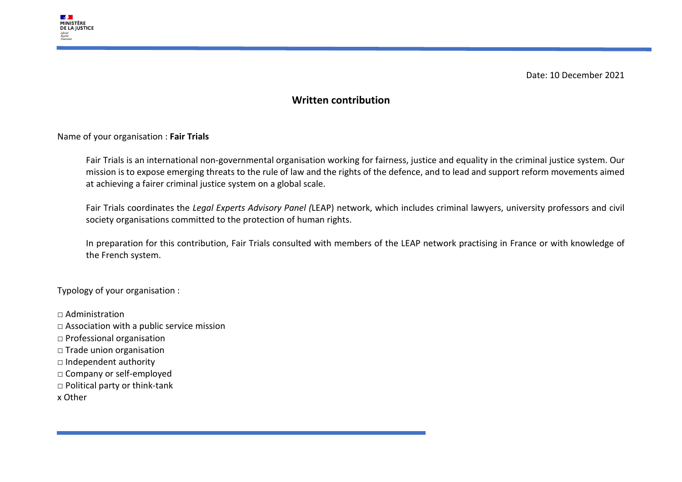

Date: 10 December 2021

## **Written contribution**

Name of your organisation : **Fair Trials**

Fair Trials is an international non-governmental organisation working for fairness, justice and equality in the criminal justice system. Our mission is to expose emerging threats to the rule of law and the rights of the defence, and to lead and support reform movements aimed at achieving a fairer criminal justice system on a global scale.

Fair Trials coordinates the *Legal Experts Advisory Panel (*LEAP) network, which includes criminal lawyers, university professors and civil society organisations committed to the protection of human rights.

In preparation for this contribution, Fair Trials consulted with members of the LEAP network practising in France or with knowledge of the French system.

Typology of your organisation :

- □ Administration
- □ Association with a public service mission
- □ Professional organisation
- □ Trade union organisation
- □ Independent authority
- □ Company or self-employed
- □ Political party or think-tank
- x Other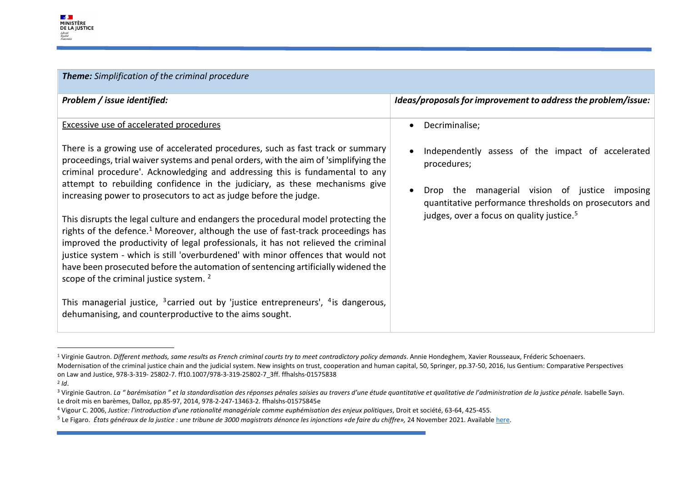<span id="page-1-4"></span><span id="page-1-3"></span><span id="page-1-2"></span><span id="page-1-1"></span><span id="page-1-0"></span>

| <b>Theme:</b> Simplification of the criminal procedure                                                                                                                                                                                                                                                                                                                                                                                                                                                                                                                                                                                                                                                                                                                                                                                                                                                                                                                                                                                                                                                                                          |                                                                                                                                                                                                                                                         |  |
|-------------------------------------------------------------------------------------------------------------------------------------------------------------------------------------------------------------------------------------------------------------------------------------------------------------------------------------------------------------------------------------------------------------------------------------------------------------------------------------------------------------------------------------------------------------------------------------------------------------------------------------------------------------------------------------------------------------------------------------------------------------------------------------------------------------------------------------------------------------------------------------------------------------------------------------------------------------------------------------------------------------------------------------------------------------------------------------------------------------------------------------------------|---------------------------------------------------------------------------------------------------------------------------------------------------------------------------------------------------------------------------------------------------------|--|
| Problem / issue identified:                                                                                                                                                                                                                                                                                                                                                                                                                                                                                                                                                                                                                                                                                                                                                                                                                                                                                                                                                                                                                                                                                                                     | Ideas/proposals for improvement to address the problem/issue:                                                                                                                                                                                           |  |
| <b>Excessive use of accelerated procedures</b><br>There is a growing use of accelerated procedures, such as fast track or summary<br>proceedings, trial waiver systems and penal orders, with the aim of 'simplifying the<br>criminal procedure'. Acknowledging and addressing this is fundamental to any<br>attempt to rebuilding confidence in the judiciary, as these mechanisms give<br>increasing power to prosecutors to act as judge before the judge.<br>This disrupts the legal culture and endangers the procedural model protecting the<br>rights of the defence. <sup>1</sup> Moreover, although the use of fast-track proceedings has<br>improved the productivity of legal professionals, it has not relieved the criminal<br>justice system - which is still 'overburdened' with minor offences that would not<br>have been prosecuted before the automation of sentencing artificially widened the<br>scope of the criminal justice system. <sup>2</sup><br>This managerial justice, <sup>3</sup> carried out by 'justice entrepreneurs', <sup>4</sup> is dangerous,<br>dehumanising, and counterproductive to the aims sought. | Decriminalise;<br>Independently assess of the impact of accelerated<br>procedures;<br>Drop the managerial vision of justice imposing<br>quantitative performance thresholds on prosecutors and<br>judges, over a focus on quality justice. <sup>5</sup> |  |

<sup>&</sup>lt;sup>1</sup> Virginie Gautron. Different methods, same results as French criminal courts try to meet contradictory policy demands. Annie Hondeghem, Xavier Rousseaux, Fréderic Schoenaers. Modernisation of the criminal justice chain and the judicial system. New insights on trust, cooperation and human capital, 50, Springer, pp.37-50, 2016, Ius Gentium: Comparative Perspectives on Law and Justice, 978-3-319- 25802-7. ff10.1007/978-3-319-25802-7\_3ff. ffhalshs-01575838<br><sup>2</sup> Id.

<sup>&</sup>lt;sup>3</sup> Virginie Gautron. La "barémisation " et la standardisation des réponses pénales saisies au travers d'une étude quantitative et qualitative de l'administration de la justice pénale. Isabelle Sayn. Le droit mis en barèmes, Dalloz, pp.85-97, 2014, 978-2-247-13463-2. ffhalshs-01575845e

<sup>4</sup> Vigour C. 2006, *Justice: l'introduction d'une rationalité managériale comme euphémisation des enjeux politiques*, Droit et société, 63-64, 425-455.

<sup>5</sup> Le Figaro. *États généraux de la justice : une tribune de 3000 magistrats dénonce les injonctions «de faire du chiffre»,* 24 November 2021. Availabl[e here.](https://www.lefigaro.fr/actualite-france/etats-generaux-de-la-justice-une-tribune-de-3000-magistrats-denonce-les-injonctions-de-faire-du-chiffre-20211124)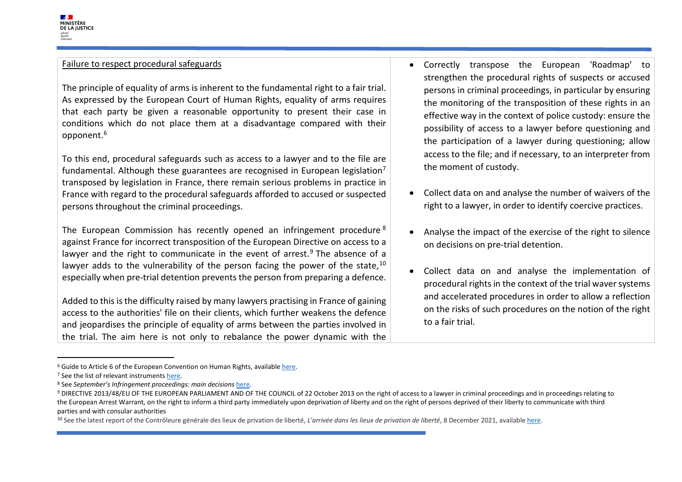The principle of equality of arms is inherent to the fundamental right to a fair trial. As expressed by the European Court of Human Rights, equality of arms requires that each party be given a reasonable opportunity to present their case in conditions which do not place them at a disadvantage compared with their opponent. [6](#page-2-0)

To this end, procedural safeguards such as access to a lawyer and to the file are fundamental. Although these guarantees are recognised in European legislation<sup>7</sup> transposed by legislation in France, there remain serious problems in practice in France with regard to the procedural safeguards afforded to accused or suspected persons throughout the criminal proceedings.

The European Commission has recently opened an infringement procedure [8](#page-2-2) against France for incorrect transposition of the European Directive on access to a lawyer and the right to communicate in the event of arrest.<sup>[9](#page-2-3)</sup> The absence of a lawyer adds to the vulnerability of the person facing the power of the state,  $^{10}$  $^{10}$  $^{10}$ especially when pre-trial detention prevents the person from preparing a defence.

Added to this is the difficulty raised by many lawyers practising in France of gaining access to the authorities' file on their clients, which further weakens the defence and jeopardises the principle of equality of arms between the parties involved in the trial. The aim here is not only to rebalance the power dynamic with the

- <span id="page-2-4"></span><span id="page-2-3"></span><span id="page-2-2"></span><span id="page-2-1"></span><span id="page-2-0"></span>• Correctly transpose the European 'Roadmap' to strengthen the procedural rights of suspects or accused persons in criminal proceedings, in particular by ensuring the monitoring of the transposition of these rights in an effective way in the context of police custody: ensure the possibility of access to a lawyer before questioning and the participation of a lawyer during questioning; allow access to the file; and if necessary, to an interpreter from the moment of custody.
- Collect data on and analyse the number of waivers of the right to a lawyer, in order to identify coercive practices.
- Analyse the impact of the exercise of the right to silence on decisions on pre-trial detention.
- Collect data on and analyse the implementation of procedural rights in the context of the trial waver systems and accelerated procedures in order to allow a reflection on the risks of such procedures on the notion of the right to a fair trial.

<sup>10</sup> See the latest report of the Contrôleure générale des lieux de privation de liberté, *L'arrivée dans les lieux de privation de liberté*, 8 December 2021, available [here.](https://www.cglpl.fr/2021/larrivee-dans-les-lieux-de-privation-de-liberte/)

<sup>&</sup>lt;sup>6</sup> Guide to Article 6 of the European Convention on Human Rights, available <u>here</u>.<br><sup>7</sup> See the list of relevant instruments <u>here</u>.<br><sup>8</sup> See September's Infringement proceedings: main decisions <u>here</u>.<br><sup>9</sup> DIRECTIVE 2013/ the European Arrest Warrant, on the right to inform a third party immediately upon deprivation of liberty and on the right of persons deprived of their liberty to communicate with third parties and with consular authorities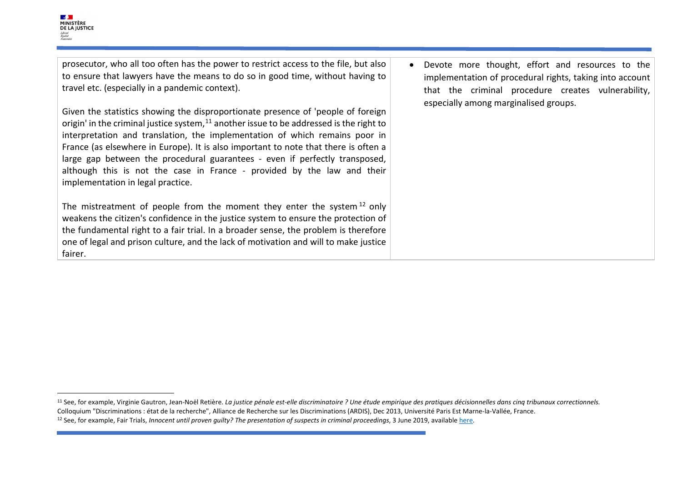prosecutor, who all too often has the power to restrict access to the file, but also to ensure that lawyers have the means to do so in good time, without having to travel etc. (especially in a pandemic context).

Given the statistics showing the disproportionate presence of 'people of foreign origin' in the criminal justice system, $11$  another issue to be addressed is the right to interpretation and translation, the implementation of which remains poor in France (as elsewhere in Europe). It is also important to note that there is often a large gap between the procedural guarantees - even if perfectly transposed, although this is not the case in France - provided by the law and their implementation in legal practice.

The mistreatment of people from the moment they enter the system  $12$  only weakens the citizen's confidence in the justice system to ensure the protection of the fundamental right to a fair trial. In a broader sense, the problem is therefore one of legal and prison culture, and the lack of motivation and will to make justice fairer.

<span id="page-3-1"></span><span id="page-3-0"></span>• Devote more thought, effort and resources to the implementation of procedural rights, taking into account that the criminal procedure creates vulnerability, especially among marginalised groups.

<sup>&</sup>lt;sup>11</sup> See, for example, Virginie Gautron, Jean-Noël Retière. La justice pénale est-elle discriminatoire ? Une étude empirique des pratiques décisionnelles dans cinq tribunaux correctionnels. Colloquium "Discriminations : état de la recherche", Alliance de Recherche sur les Discriminations (ARDIS), Dec 2013, Université Paris Est Marne-la-Vallée, France. <sup>12</sup> See, for example, Fair Trials, *Innocent until proven guilty? The presentation of suspects in criminal proceedings*, 3 June 2019, available [here.](https://www.fairtrials.org/publication/innocent-until-proven-guilty-0)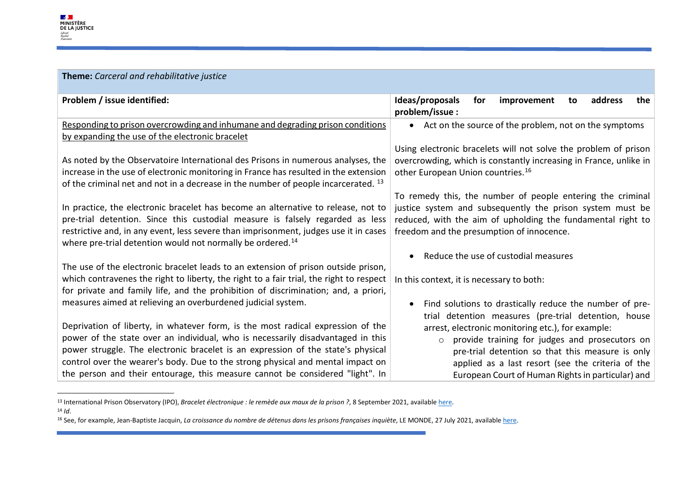<span id="page-4-2"></span><span id="page-4-1"></span><span id="page-4-0"></span>

| Theme: Carceral and rehabilitative justice                                                                                                                                                                                                                                                                                                                                                                                 |                                                                                                                                                                                                                                                                              |
|----------------------------------------------------------------------------------------------------------------------------------------------------------------------------------------------------------------------------------------------------------------------------------------------------------------------------------------------------------------------------------------------------------------------------|------------------------------------------------------------------------------------------------------------------------------------------------------------------------------------------------------------------------------------------------------------------------------|
| Problem / issue identified:                                                                                                                                                                                                                                                                                                                                                                                                | Ideas/proposals<br>for<br>address<br>improvement<br>the<br>to<br>problem/issue:                                                                                                                                                                                              |
| Responding to prison overcrowding and inhumane and degrading prison conditions                                                                                                                                                                                                                                                                                                                                             | • Act on the source of the problem, not on the symptoms                                                                                                                                                                                                                      |
| by expanding the use of the electronic bracelet                                                                                                                                                                                                                                                                                                                                                                            |                                                                                                                                                                                                                                                                              |
| As noted by the Observatoire International des Prisons in numerous analyses, the<br>increase in the use of electronic monitoring in France has resulted in the extension<br>of the criminal net and not in a decrease in the number of people incarcerated. <sup>13</sup>                                                                                                                                                  | Using electronic bracelets will not solve the problem of prison<br>overcrowding, which is constantly increasing in France, unlike in<br>other European Union countries. <sup>16</sup>                                                                                        |
|                                                                                                                                                                                                                                                                                                                                                                                                                            | To remedy this, the number of people entering the criminal                                                                                                                                                                                                                   |
| In practice, the electronic bracelet has become an alternative to release, not to<br>pre-trial detention. Since this custodial measure is falsely regarded as less<br>restrictive and, in any event, less severe than imprisonment, judges use it in cases<br>where pre-trial detention would not normally be ordered. <sup>14</sup>                                                                                       | justice system and subsequently the prison system must be<br>reduced, with the aim of upholding the fundamental right to<br>freedom and the presumption of innocence.                                                                                                        |
|                                                                                                                                                                                                                                                                                                                                                                                                                            | Reduce the use of custodial measures                                                                                                                                                                                                                                         |
| The use of the electronic bracelet leads to an extension of prison outside prison,                                                                                                                                                                                                                                                                                                                                         |                                                                                                                                                                                                                                                                              |
| which contravenes the right to liberty, the right to a fair trial, the right to respect                                                                                                                                                                                                                                                                                                                                    | In this context, it is necessary to both:                                                                                                                                                                                                                                    |
| for private and family life, and the prohibition of discrimination; and, a priori,                                                                                                                                                                                                                                                                                                                                         |                                                                                                                                                                                                                                                                              |
| measures aimed at relieving an overburdened judicial system.                                                                                                                                                                                                                                                                                                                                                               | Find solutions to drastically reduce the number of pre-<br>trial detention measures (pre-trial detention, house                                                                                                                                                              |
| Deprivation of liberty, in whatever form, is the most radical expression of the<br>power of the state over an individual, who is necessarily disadvantaged in this<br>power struggle. The electronic bracelet is an expression of the state's physical<br>control over the wearer's body. Due to the strong physical and mental impact on<br>the person and their entourage, this measure cannot be considered "light". In | arrest, electronic monitoring etc.), for example:<br>provide training for judges and prosecutors on<br>$\circ$<br>pre-trial detention so that this measure is only<br>applied as a last resort (see the criteria of the<br>European Court of Human Rights in particular) and |

<sup>13</sup> International Prison Observatory (IPO), *Bracelet électronique : le remède aux maux de la prison ?*, 8 September 2021, availabl[e here.](https://oip.org/analyse/bracelet-electronique-le-remede-aux-maux-de-la-prison/) 14 *Id*.

<sup>&</sup>lt;sup>16</sup> See, for example, Jean-Baptiste Jacquin, *La croissance du nombre de détenus dans les prisons françaises inquiète*, LE MONDE, 27 July 2021, available here.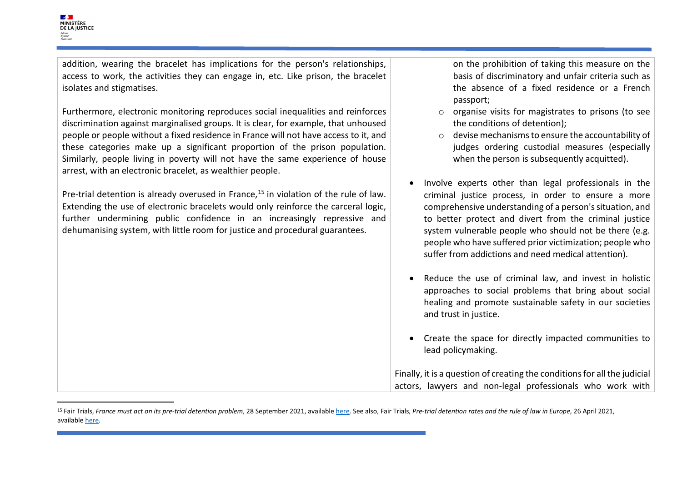addition, wearing the bracelet has implications for the person's relationships, access to work, the activities they can engage in, etc. Like prison, the bracelet isolates and stigmatises.

Furthermore, electronic monitoring reproduces social inequalities and reinforces discrimination against marginalised groups. It is clear, for example, that unhoused people or people without a fixed residence in France will not have access to it, and these categories make up a significant proportion of the prison population. Similarly, people living in poverty will not have the same experience of house arrest, with an electronic bracelet, as wealthier people.

Pre-trial detention is already overused in France,<sup>[15](#page-5-0)</sup> in violation of the rule of law. Extending the use of electronic bracelets would only reinforce the carceral logic, further undermining public confidence in an increasingly repressive and dehumanising system, with little room for justice and procedural guarantees.

<span id="page-5-0"></span>on the prohibition of taking this measure on the basis of discriminatory and unfair criteria such as the absence of a fixed residence or a French passport;

- o organise visits for magistrates to prisons (to see the conditions of detention);
- o devise mechanisms to ensure the accountability of judges ordering custodial measures (especially when the person is subsequently acquitted).
- Involve experts other than legal professionals in the criminal justice process, in order to ensure a more comprehensive understanding of a person's situation, and to better protect and divert from the criminal justice system vulnerable people who should not be there (e.g. people who have suffered prior victimization; people who suffer from addictions and need medical attention).
- Reduce the use of criminal law, and invest in holistic approaches to social problems that bring about social healing and promote sustainable safety in our societies and trust in justice.
- Create the space for directly impacted communities to lead policymaking.

Finally, it is a question of creating the conditions for all the judicial actors, lawyers and non-legal professionals who work with

<sup>15</sup> Fair Trials, *France must act on its pre-trial detention problem*, 28 September 2021, availabl[e here.](https://www.fairtrials.org/news/france-must-act-its-pre-trial-detention-problem) See also, Fair Trials, *Pre-trial detention rates and the rule of law in Europe*, 26 April 2021, availabl[e here.](https://www.fairtrials.org/publication/pre-trial-detention-rates-and-rule-law-europe)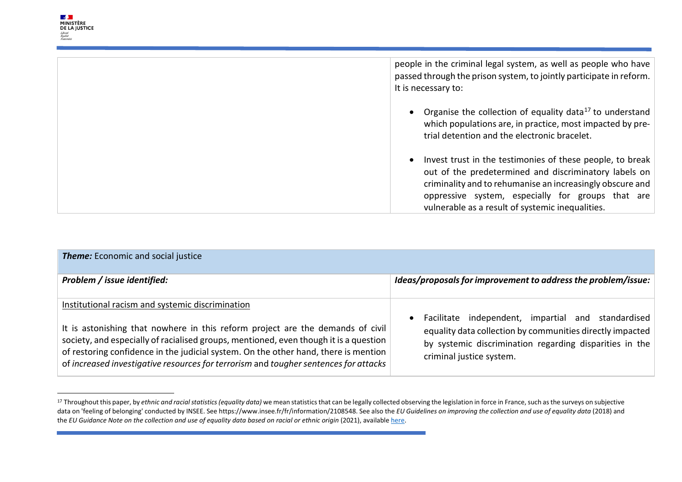<span id="page-6-0"></span>Liberté<br>Égalité<br>Fraternité

| people in the criminal legal system, as well as people who have<br>passed through the prison system, to jointly participate in reform.<br>It is necessary to:                                                                                                                            |
|------------------------------------------------------------------------------------------------------------------------------------------------------------------------------------------------------------------------------------------------------------------------------------------|
| Organise the collection of equality data <sup>17</sup> to understand<br>which populations are, in practice, most impacted by pre-<br>trial detention and the electronic bracelet.                                                                                                        |
| Invest trust in the testimonies of these people, to break<br>out of the predetermined and discriminatory labels on<br>criminality and to rehumanise an increasingly obscure and<br>oppressive system, especially for groups that are<br>vulnerable as a result of systemic inequalities. |

| <b>Theme:</b> Economic and social justice                                                                                                                                                                                                                                                                                                                                                                  |                                                                                                                                                                                                        |  |
|------------------------------------------------------------------------------------------------------------------------------------------------------------------------------------------------------------------------------------------------------------------------------------------------------------------------------------------------------------------------------------------------------------|--------------------------------------------------------------------------------------------------------------------------------------------------------------------------------------------------------|--|
| Problem / issue identified:                                                                                                                                                                                                                                                                                                                                                                                | Ideas/proposals for improvement to address the problem/issue:                                                                                                                                          |  |
| Institutional racism and systemic discrimination<br>It is astonishing that nowhere in this reform project are the demands of civil<br>society, and especially of racialised groups, mentioned, even though it is a question<br>of restoring confidence in the judicial system. On the other hand, there is mention<br>of increased investigative resources for terrorism and tougher sentences for attacks | Facilitate independent, impartial and standardised<br>equality data collection by communities directly impacted<br>by systemic discrimination regarding disparities in the<br>criminal justice system. |  |

<sup>&</sup>lt;sup>17</sup> Throughout this paper, by *ethnic and racial statistics (equality data)* we mean statistics that can be legally collected observing the legislation in force in France, such as the surveys on subjective data on 'feeling of belonging' conducted by INSEE. See https://www.insee.fr/fr/information/2108548. See also the *EU Guidelines on improving the collection and use of equality data* (2018) and the *EU Guidance Note on the collection and use of equality data based on racial or ethnic origin* (2021), available here.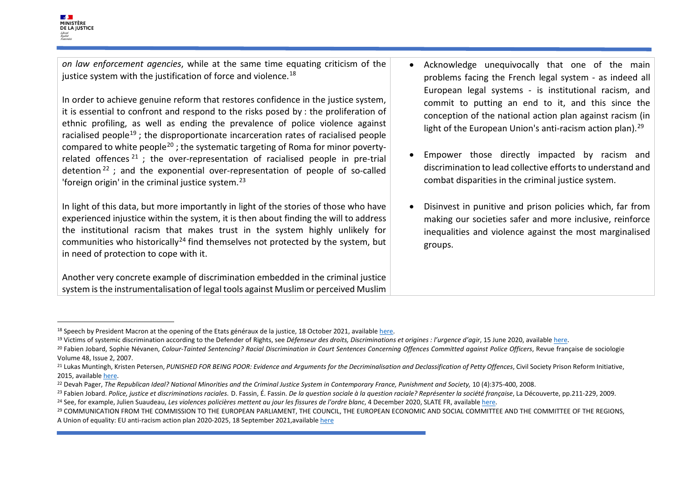*on law enforcement agencies*, while at the same time equating criticism of the justice system with the justification of force and violence.<sup>[18](#page-7-0)</sup>

In order to achieve genuine reform that restores confidence in the justice system, it is essential to confront and respond to the risks posed by : the proliferation of ethnic profiling, as well as ending the prevalence of police violence against racialised people<sup>[19](#page-7-1)</sup>: the disproportionate incarceration rates of racialised people compared to white people<sup>[20](#page-7-2)</sup>; the systematic targeting of Roma for minor povertyrelated offences  $21$ : the over-representation of racialised people in pre-trial detention  $22$  ; and the exponential over-representation of people of so-called 'foreign origin' in the criminal justice system.<sup>[23](#page-7-5)</sup>

In light of this data, but more importantly in light of the stories of those who have experienced injustice within the system, it is then about finding the will to address the institutional racism that makes trust in the system highly unlikely for communities who historically<sup>[24](#page-7-6)</sup> find themselves not protected by the system, but in need of protection to cope with it.

Another very concrete example of discrimination embedded in the criminal justice system is the instrumentalisation of legal tools against Muslim or perceived Muslim

- <span id="page-7-7"></span><span id="page-7-6"></span><span id="page-7-5"></span><span id="page-7-4"></span><span id="page-7-3"></span><span id="page-7-2"></span><span id="page-7-1"></span><span id="page-7-0"></span>• Acknowledge unequivocally that one of the main problems facing the French legal system - as indeed all European legal systems - is institutional racism, and commit to putting an end to it, and this since the conception of the national action plan against racism (in light of the European Union's anti-racism action plan).<sup>[29](#page-7-7)</sup>
- Empower those directly impacted by racism and discrimination to lead collective efforts to understand and combat disparities in the criminal justice system.
- Disinvest in punitive and prison policies which, far from making our societies safer and more inclusive, reinforce inequalities and violence against the most marginalised groups.

<sup>&</sup>lt;sup>18</sup> Speech by President Macron at the opening of the Etats généraux de la justice, 18 October 2021, available <u>here</u>.<br><sup>19</sup> Victims of systemic discrimination according to the Defender of Rights, see *Défenseur des droits,* 

Volume 48, Issue 2, 2007.

<sup>&</sup>lt;sup>21</sup> Lukas Muntingh, Kristen Petersen, PUNISHED FOR BEING POOR: Evidence and Arguments for the Decriminalisation and Declassification of Petty Offences, Civil Society Prison Reform Initiative,

<sup>2015,</sup> available <u>here</u>.<br><sup>22</sup> Devah Pager, The Republican Ideal? National Minorities and the Criminal Justice System in Contemporary France, Punishment and Society, 10 (4):375-400, 2008.<br><sup>23</sup> Fabien Jobard. Police, justice

A Union of equality: EU anti-racism action plan 2020-2025, 18 September 2021,availabl[e here](https://ec.europa.eu/info/sites/default/files/a_union_of_equality_eu_action_plan_against_racism_2020_-2025_en.pdf)